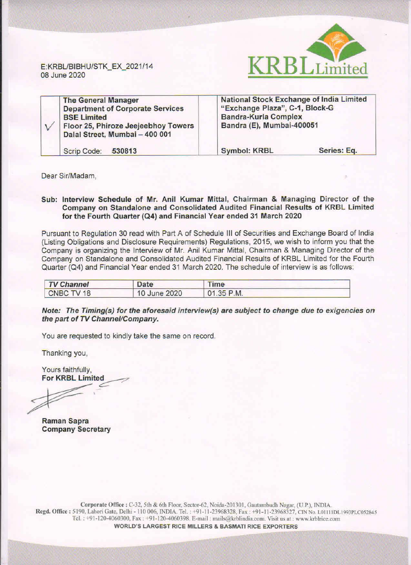

E:KRBUBIBHU/STK\_EX\_2021/14 08 June 2020

| <b>The General Manager</b><br><b>Department of Corporate Services</b><br><b>BSE Limited</b><br>Floor 25, Phiroze Jeejeebhoy Towers<br>Dalal Street, Mumbai - 400 001 | <b>National Stock Exchange of India Limited</b><br>"Exchange Plaza", C-1, Block-G<br><b>Bandra-Kurla Complex</b><br>Bandra (E), Mumbai-400051 |             |
|----------------------------------------------------------------------------------------------------------------------------------------------------------------------|-----------------------------------------------------------------------------------------------------------------------------------------------|-------------|
| Scrip Code:<br>530813                                                                                                                                                | <b>Symbol: KRBL</b>                                                                                                                           | Series: Eq. |

Dear Sir/Madam,

## Sub: Interview Schedule of Mr. Anil Kumar Mittal, Chairman & Managing Director of the Company on Standalone and Consolidated Audited Financial Results of KRBL Limited for the Fourth Quarter (Q4) and Financial Year ended 31 March 2020

Pursuant to Regulation 30 read with Part A of Schedule Ill of Securities and Exchange Board of India (listing Obligations and Disclosure Requirements) Regulations, 2015, we wish to inform you that the Company is organizing the Interview of Mr. Anil Kumar Mittal, Chairman & Managing Director of the Company on Standalone and Consolidated Audited Financial Results of KRBL Limited for the Fourth Quarter (Q4) and Financial Year ended 31 March 2020. The schedule of interview is as follows:

| <b>TV Channel</b> | Date         | <b>Time</b> |  |
|-------------------|--------------|-------------|--|
| CNBC TV 18        | 10 June 2020 | 01.35 P.M.  |  |

Note: The Timing(s) for the aforesaid interview(s) are subject *to* change due to exigencies on the part of TV Channel/Company.

You are requested to kindly take the same on record.

Thanking you,

Yours faithfully, **For KRBL Limited** 

Raman Sapra Company Secretary